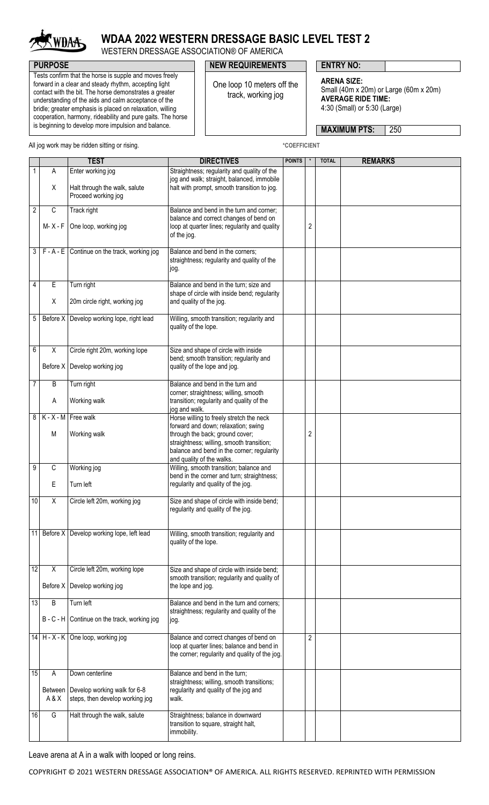

## **WDAA 2022 WESTERN DRESSAGE BASIC LEVEL TEST 2**

WESTERN DRESSAGE ASSOCIATION® OF AMERICA

## **PURPOSE PURPOSE ENTRY NO:**

One loop 10 meters off the track, working jog

**ARENA SIZE:** Small (40m x 20m) or Large (60m x 20m) **AVERAGE RIDE TIME:** 4:30 (Small) or 5:30 (Large)

**MAXIMUM PTS:** 250

All jog work may be ridden sitting or rising. **All intervally and the COEFFICIENT** \*COEFFICIENT

Tests confirm that the horse is supple and moves freely forward in a clear and steady rhythm, accepting light contact with the bit. The horse demonstrates a greater understanding of the aids and calm acceptance of the bridle; greater emphasis is placed on relaxation, willing cooperation, harmony, rideability and pure gaits. The horse is beginning to develop more impulsion and balance.

|                 |                         | <b>TEST</b>                                                     | <b>DIRECTIVES</b>                                                                                                                                                 | <b>POINTS</b> |                | <b>TOTAL</b> | <b>REMARKS</b> |
|-----------------|-------------------------|-----------------------------------------------------------------|-------------------------------------------------------------------------------------------------------------------------------------------------------------------|---------------|----------------|--------------|----------------|
|                 | A                       | Enter working jog                                               | Straightness; regularity and quality of the<br>jog and walk; straight, balanced, immobile                                                                         |               |                |              |                |
|                 | Χ                       | Halt through the walk, salute<br>Proceed working jog            | halt with prompt, smooth transition to jog.                                                                                                                       |               |                |              |                |
| 2               | C                       | Track right                                                     | Balance and bend in the turn and corner;                                                                                                                          |               |                |              |                |
|                 | M- X - F                | One loop, working jog                                           | balance and correct changes of bend on<br>loop at quarter lines; regularity and quality<br>of the jog.                                                            |               | 2              |              |                |
| 3               |                         | $F - A - E$ Continue on the track, working jog                  | Balance and bend in the corners;<br>straightness; regularity and quality of the<br>jog.                                                                           |               |                |              |                |
| 4               | E                       | Turn right                                                      | Balance and bend in the turn; size and                                                                                                                            |               |                |              |                |
|                 | Χ                       | 20m circle right, working jog                                   | shape of circle with inside bend; regularity<br>and quality of the jog.                                                                                           |               |                |              |                |
| 5               |                         | Before X Develop working lope, right lead                       | Willing, smooth transition; regularity and<br>quality of the lope.                                                                                                |               |                |              |                |
| 6               | X                       | Circle right 20m, working lope                                  | Size and shape of circle with inside                                                                                                                              |               |                |              |                |
|                 |                         | Before X Develop working jog                                    | bend; smooth transition; regularity and<br>quality of the lope and jog.                                                                                           |               |                |              |                |
| 7               | B                       | Turn right                                                      | Balance and bend in the turn and                                                                                                                                  |               |                |              |                |
|                 | Α                       | Working walk                                                    | corner; straightness; willing, smooth<br>transition; regularity and quality of the<br>jog and walk.                                                               |               |                |              |                |
| 8               | $K - X - M$             | Free walk                                                       | Horse willing to freely stretch the neck                                                                                                                          |               |                |              |                |
|                 | M                       | Working walk                                                    | forward and down; relaxation; swing<br>through the back; ground cover;<br>straightness; willing, smooth transition;<br>balance and bend in the corner; regularity |               | 2              |              |                |
|                 |                         |                                                                 | and quality of the walks.                                                                                                                                         |               |                |              |                |
| 9               | C                       | Working jog                                                     | Willing, smooth transition; balance and                                                                                                                           |               |                |              |                |
|                 | E                       | Turn left                                                       | bend in the corner and turn; straightness;<br>regularity and quality of the jog.                                                                                  |               |                |              |                |
| 10              | $\overline{X}$          | Circle left 20m, working jog                                    | Size and shape of circle with inside bend;<br>regularity and quality of the jog.                                                                                  |               |                |              |                |
|                 |                         | 11 Before X Develop working lope, left lead                     | Willing, smooth transition; regularity and<br>quality of the lope.                                                                                                |               |                |              |                |
| $\overline{12}$ | X                       | Circle left 20m, working lope                                   | Size and shape of circle with inside bend;                                                                                                                        |               |                |              |                |
|                 |                         | Before X Develop working jog                                    | smooth transition; regularity and quality of<br>the lope and jog.                                                                                                 |               |                |              |                |
| 13              | B                       | Turn left                                                       | Balance and bend in the turn and corners;                                                                                                                         |               |                |              |                |
|                 |                         | B - C - H Continue on the track, working jog                    | straightness; regularity and quality of the<br>jog.                                                                                                               |               |                |              |                |
|                 |                         | 14 H - X - K One loop, working jog                              | Balance and correct changes of bend on                                                                                                                            |               | $\overline{2}$ |              |                |
|                 |                         |                                                                 | loop at quarter lines; balance and bend in<br>the corner; regularity and quality of the jog.                                                                      |               |                |              |                |
| 15              | A                       | Down centerline                                                 | Balance and bend in the turn;                                                                                                                                     |               |                |              |                |
|                 | <b>Between</b><br>A & X | Develop working walk for 6-8<br>steps, then develop working jog | straightness; willing, smooth transitions;<br>regularity and quality of the jog and<br>walk.                                                                      |               |                |              |                |
| 16              | G                       | Halt through the walk, salute                                   | Straightness; balance in downward<br>transition to square, straight halt,<br>immobility.                                                                          |               |                |              |                |

Leave arena at A in a walk with looped or long reins.

COPYRIGHT © 2021 WESTERN DRESSAGE ASSOCIATION® OF AMERICA. ALL RIGHTS RESERVED. REPRINTED WITH PERMISSION